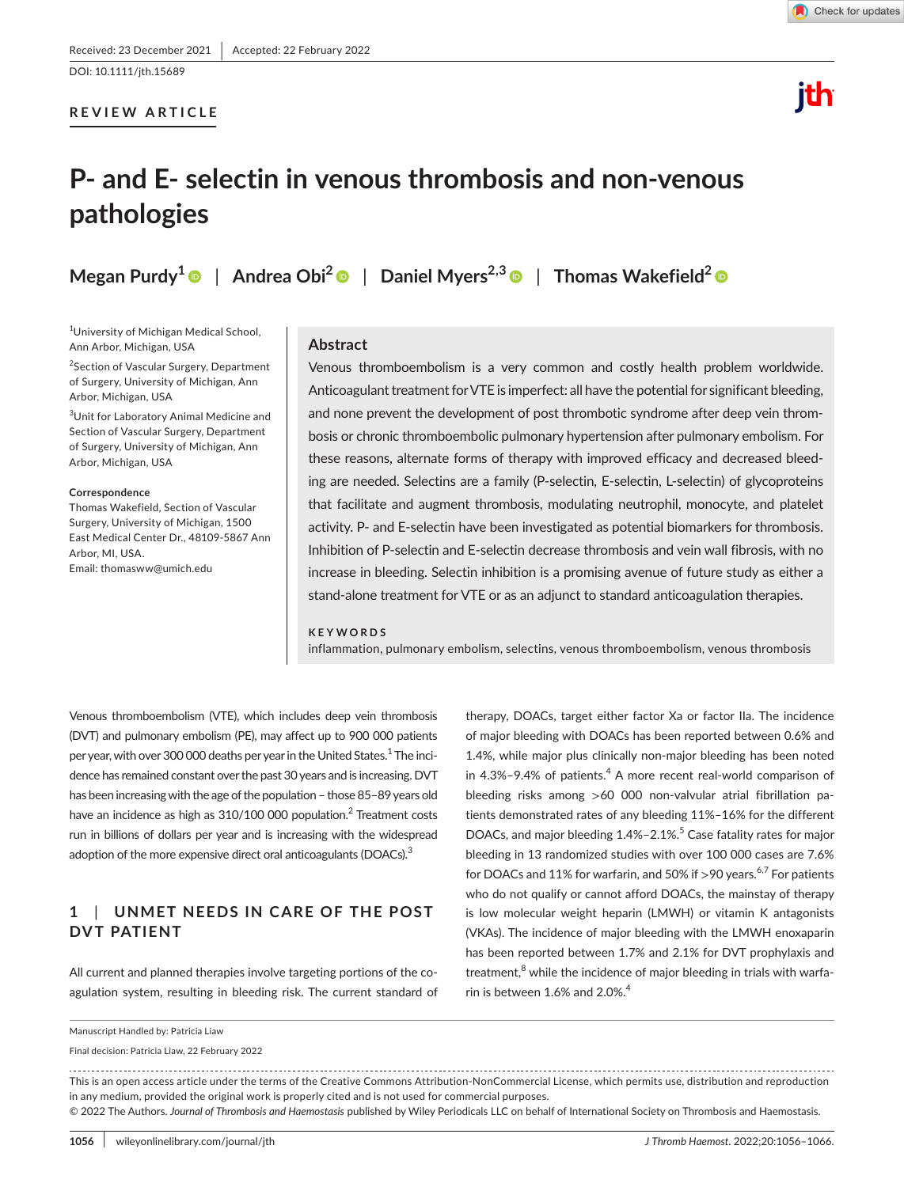# **REVIEW ARTICLE**

# ith

# **P- and E- selectin in venous thrombosis and non-venous pathologies**

**Megan Purdy[1](https://orcid.org/0000-0002-3371-0979)** | **Andrea Obi[2](https://orcid.org/0000-0001-7613-2366)** | **Daniel Myers2,3** | **Thomas Wakefield[2](https://orcid.org/0000-0001-7362-2634)**

1 University of Michigan Medical School, Ann Arbor, Michigan, USA

<sup>2</sup> Section of Vascular Surgery, Department of Surgery, University of Michigan, Ann Arbor, Michigan, USA

3 Unit for Laboratory Animal Medicine and Section of Vascular Surgery, Department of Surgery, University of Michigan, Ann Arbor, Michigan, USA

#### **Correspondence**

Thomas Wakefield, Section of Vascular Surgery, University of Michigan, 1500 East Medical Center Dr., 48109-5867 Ann Arbor, MI, USA. Email: [thomasww@umich.edu](mailto:thomasww@umich.edu)

#### **Abstract**

Venous thromboembolism is a very common and costly health problem worldwide. Anticoagulant treatment for VTE is imperfect: all have the potential for significant bleeding, and none prevent the development of post thrombotic syndrome after deep vein thrombosis or chronic thromboembolic pulmonary hypertension after pulmonary embolism. For these reasons, alternate forms of therapy with improved efficacy and decreased bleeding are needed. Selectins are a family (P-selectin, E-selectin, L-selectin) of glycoproteins that facilitate and augment thrombosis, modulating neutrophil, monocyte, and platelet activity. P- and E-selectin have been investigated as potential biomarkers for thrombosis. Inhibition of P-selectin and E-selectin decrease thrombosis and vein wall fibrosis, with no increase in bleeding. Selectin inhibition is a promising avenue of future study as either a stand-alone treatment for VTE or as an adjunct to standard anticoagulation therapies.

#### **KEYWORDS**

inflammation, pulmonary embolism, selectins, venous thromboembolism, venous thrombosis

Venous thromboembolism (VTE), which includes deep vein thrombosis (DVT) and pulmonary embolism (PE), may affect up to 900 000 patients per year, with over 300 000 deaths per year in the United States.<sup>1</sup> The incidence has remained constant over the past 30years and is increasing. DVT has been increasing with the age of the population - those 85-89 years old have an incidence as high as  $310/100$  000 population.<sup>2</sup> Treatment costs run in billions of dollars per year and is increasing with the widespread adoption of the more expensive direct oral anticoagulants (DOACs). $3$ 

# **1**  | **UNMET NEEDS IN C ARE OF THE POST DVT PATIENT**

All current and planned therapies involve targeting portions of the coagulation system, resulting in bleeding risk. The current standard of

therapy, DOACs, target either factor Xa or factor IIa. The incidence of major bleeding with DOACs has been reported between 0.6% and 1.4%, while major plus clinically non-major bleeding has been noted in 4.3%-9.4% of patients.<sup>4</sup> A more recent real-world comparison of bleeding risks among >60 000 non-valvular atrial fibrillation patients demonstrated rates of any bleeding 11%–16% for the different DOACs, and major bleeding 1.4%-2.1%.<sup>5</sup> Case fatality rates for major bleeding in 13 randomized studies with over 100 000 cases are 7.6% for DOACs and 11% for warfarin, and 50% if >90 years.<sup>6,7</sup> For patients who do not qualify or cannot afford DOACs, the mainstay of therapy is low molecular weight heparin (LMWH) or vitamin K antagonists (VKAs). The incidence of major bleeding with the LMWH enoxaparin has been reported between 1.7% and 2.1% for DVT prophylaxis and treatment,<sup>8</sup> while the incidence of major bleeding in trials with warfarin is between 1.6% and 2.0%. $4$ 

Final decision: Patricia Liaw, 22 February 2022

This is an open access article under the terms of the [Creative Commons Attribution-NonCommercial](http://creativecommons.org/licenses/by-nc/4.0/) License, which permits use, distribution and reproduction in any medium, provided the original work is properly cited and is not used for commercial purposes.

© 2022 The Authors. *Journal of Thrombosis and Haemostasis* published by Wiley Periodicals LLC on behalf of International Society on Thrombosis and Haemostasis.

Manuscript Handled by: Patricia Liaw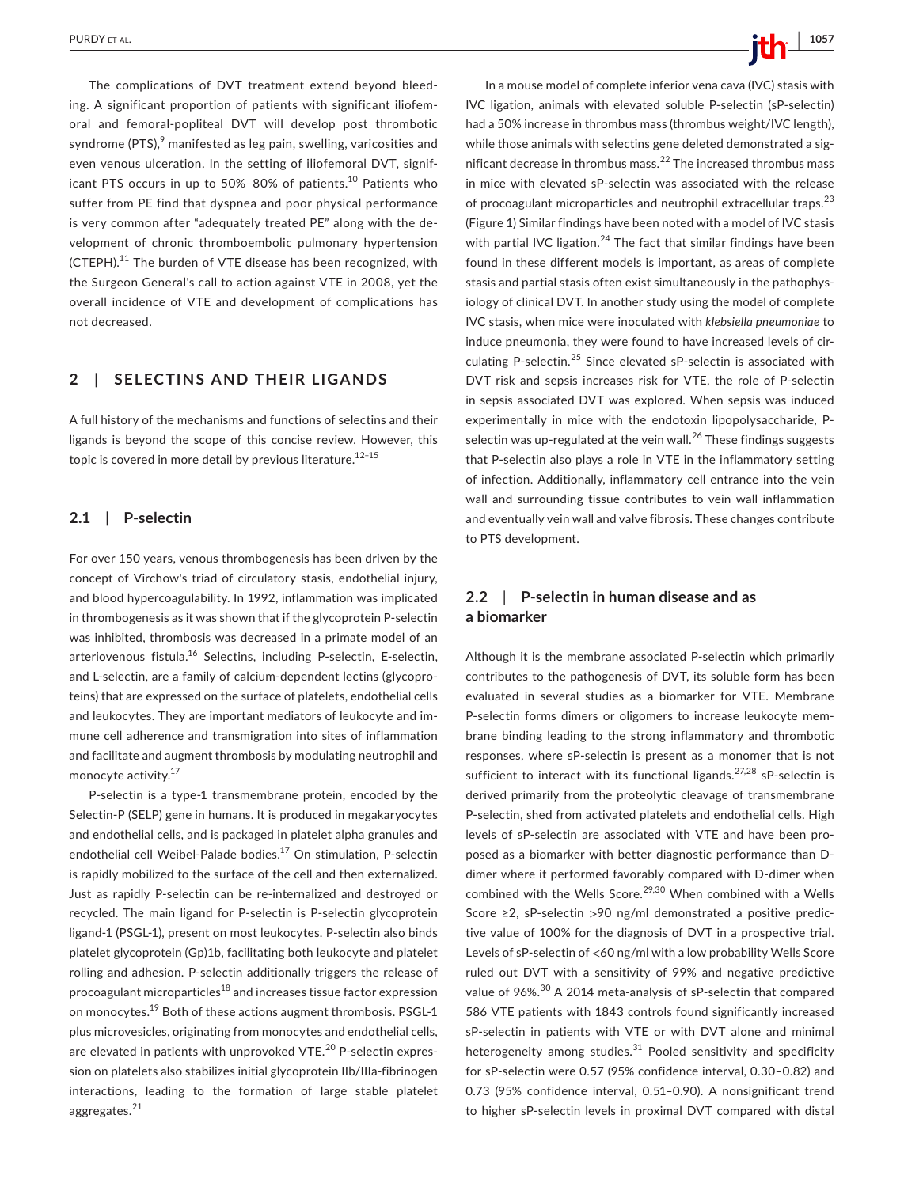The complications of DVT treatment extend beyond bleeding. A significant proportion of patients with significant iliofemoral and femoral-popliteal DVT will develop post thrombotic syndrome (PTS), $^9$  manifested as leg pain, swelling, varicosities and even venous ulceration. In the setting of iliofemoral DVT, significant PTS occurs in up to 50%-80% of patients.<sup>10</sup> Patients who suffer from PE find that dyspnea and poor physical performance is very common after "adequately treated PE" along with the development of chronic thromboembolic pulmonary hypertension (CTEPH).<sup>11</sup> The burden of VTE disease has been recognized, with the Surgeon General's call to action against VTE in 2008, yet the overall incidence of VTE and development of complications has not decreased.

# **2**  | **SELECTINS AND THEIR LIGANDS**

A full history of the mechanisms and functions of selectins and their ligands is beyond the scope of this concise review. However, this topic is covered in more detail by previous literature.<sup>12-15</sup>

#### **2.1**  | **P-selectin**

For over 150 years, venous thrombogenesis has been driven by the concept of Virchow's triad of circulatory stasis, endothelial injury, and blood hypercoagulability. In 1992, inflammation was implicated in thrombogenesis as it was shown that if the glycoprotein P-selectin was inhibited, thrombosis was decreased in a primate model of an arteriovenous fistula.<sup>16</sup> Selectins, including P-selectin, E-selectin, and L-selectin, are a family of calcium-dependent lectins (glycoproteins) that are expressed on the surface of platelets, endothelial cells and leukocytes. They are important mediators of leukocyte and immune cell adherence and transmigration into sites of inflammation and facilitate and augment thrombosis by modulating neutrophil and monocyte activity.17

P-selectin is a type-1 transmembrane protein, encoded by the Selectin-P (SELP) gene in humans. It is produced in megakaryocytes and endothelial cells, and is packaged in platelet alpha granules and endothelial cell Weibel-Palade bodies.<sup>17</sup> On stimulation, P-selectin is rapidly mobilized to the surface of the cell and then externalized. Just as rapidly P-selectin can be re-internalized and destroyed or recycled. The main ligand for P-selectin is P-selectin glycoprotein ligand-1 (PSGL-1), present on most leukocytes. P-selectin also binds platelet glycoprotein (Gp)1b, facilitating both leukocyte and platelet rolling and adhesion. P-selectin additionally triggers the release of procoagulant microparticles<sup>18</sup> and increases tissue factor expression on monocytes.<sup>19</sup> Both of these actions augment thrombosis. PSGL-1 plus microvesicles, originating from monocytes and endothelial cells, are elevated in patients with unprovoked VTE.<sup>20</sup> P-selectin expression on platelets also stabilizes initial glycoprotein IIb/IIIa-fibrinogen interactions, leading to the formation of large stable platelet aggregates.<sup>21</sup>

In a mouse model of complete inferior vena cava (IVC) stasis with IVC ligation, animals with elevated soluble P-selectin (sP-selectin) had a 50% increase in thrombus mass (thrombus weight/IVC length), while those animals with selectins gene deleted demonstrated a significant decrease in thrombus mass.<sup>22</sup> The increased thrombus mass in mice with elevated sP-selectin was associated with the release of procoagulant microparticles and neutrophil extracellular traps.<sup>23</sup> (Figure 1) Similar findings have been noted with a model of IVC stasis with partial IVC ligation. $^{24}$  The fact that similar findings have been found in these different models is important, as areas of complete stasis and partial stasis often exist simultaneously in the pathophysiology of clinical DVT. In another study using the model of complete IVC stasis, when mice were inoculated with *klebsiella pneumoniae* to induce pneumonia, they were found to have increased levels of circulating P-selectin.25 Since elevated sP-selectin is associated with DVT risk and sepsis increases risk for VTE, the role of P-selectin in sepsis associated DVT was explored. When sepsis was induced experimentally in mice with the endotoxin lipopolysaccharide, Pselectin was up-regulated at the vein wall.<sup>26</sup> These findings suggests that P-selectin also plays a role in VTE in the inflammatory setting of infection. Additionally, inflammatory cell entrance into the vein wall and surrounding tissue contributes to vein wall inflammation and eventually vein wall and valve fibrosis. These changes contribute to PTS development.

# **2.2**  | **P-selectin in human disease and as a biomarker**

Although it is the membrane associated P-selectin which primarily contributes to the pathogenesis of DVT, its soluble form has been evaluated in several studies as a biomarker for VTE. Membrane P-selectin forms dimers or oligomers to increase leukocyte membrane binding leading to the strong inflammatory and thrombotic responses, where sP-selectin is present as a monomer that is not sufficient to interact with its functional ligands.<sup>27,28</sup> sP-selectin is derived primarily from the proteolytic cleavage of transmembrane P-selectin, shed from activated platelets and endothelial cells. High levels of sP-selectin are associated with VTE and have been proposed as a biomarker with better diagnostic performance than Ddimer where it performed favorably compared with D-dimer when combined with the Wells Score.<sup>29,30</sup> When combined with a Wells Score ≥2, sP-selectin >90 ng/ml demonstrated a positive predictive value of 100% for the diagnosis of DVT in a prospective trial. Levels of sP-selectin of <60 ng/ml with a low probability Wells Score ruled out DVT with a sensitivity of 99% and negative predictive value of 96%.<sup>30</sup> A 2014 meta-analysis of sP-selectin that compared 586 VTE patients with 1843 controls found significantly increased sP-selectin in patients with VTE or with DVT alone and minimal heterogeneity among studies. $31$  Pooled sensitivity and specificity for sP-selectin were 0.57 (95% confidence interval, 0.30–0.82) and 0.73 (95% confidence interval, 0.51–0.90). A nonsignificant trend to higher sP-selectin levels in proximal DVT compared with distal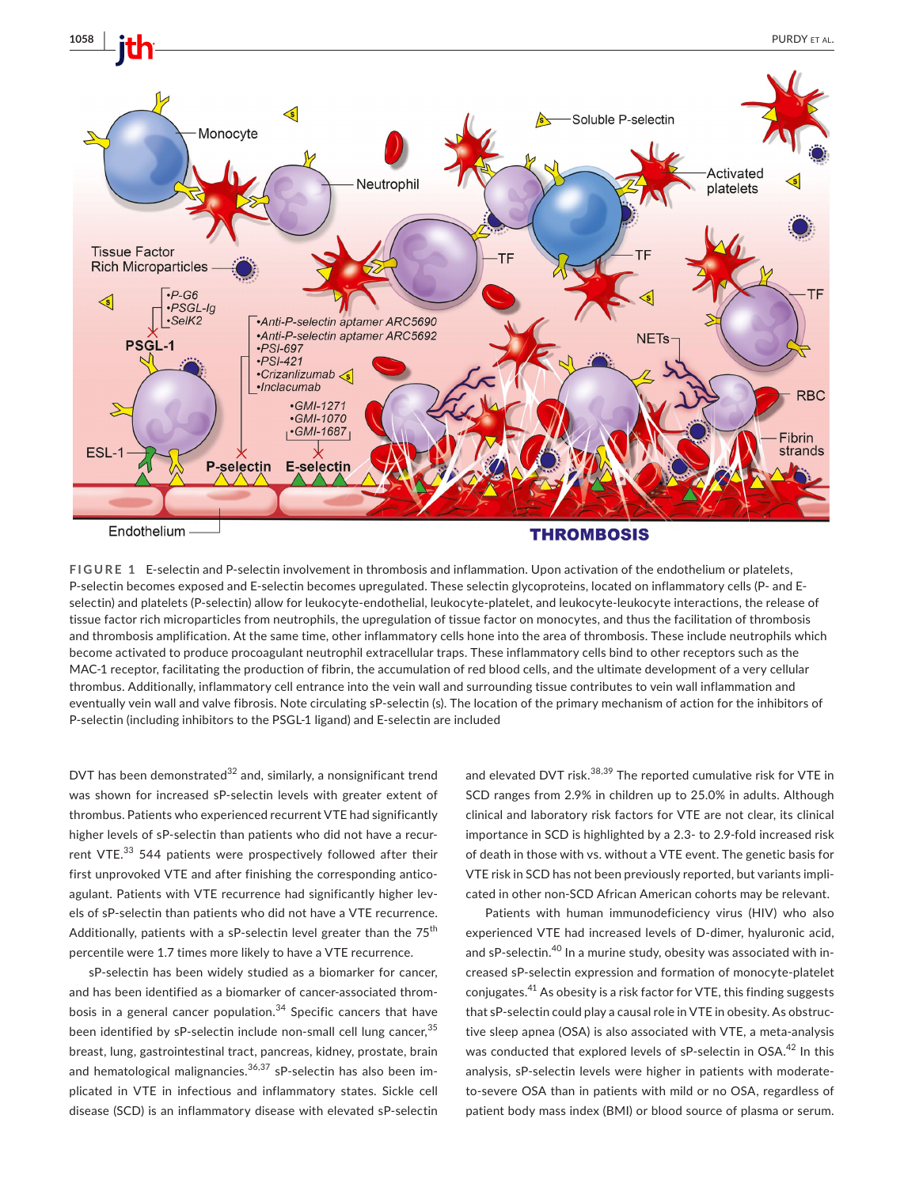



**FIGURE 1** E-selectin and P-selectin involvement in thrombosis and inflammation. Upon activation of the endothelium or platelets, P-selectin becomes exposed and E-selectin becomes upregulated. These selectin glycoproteins, located on inflammatory cells (P- and Eselectin) and platelets (P-selectin) allow for leukocyte-endothelial, leukocyte-platelet, and leukocyte-leukocyte interactions, the release of tissue factor rich microparticles from neutrophils, the upregulation of tissue factor on monocytes, and thus the facilitation of thrombosis and thrombosis amplification. At the same time, other inflammatory cells hone into the area of thrombosis. These include neutrophils which become activated to produce procoagulant neutrophil extracellular traps. These inflammatory cells bind to other receptors such as the MAC-1 receptor, facilitating the production of fibrin, the accumulation of red blood cells, and the ultimate development of a very cellular thrombus. Additionally, inflammatory cell entrance into the vein wall and surrounding tissue contributes to vein wall inflammation and eventually vein wall and valve fibrosis. Note circulating sP-selectin (s). The location of the primary mechanism of action for the inhibitors of P-selectin (including inhibitors to the PSGL-1 ligand) and E-selectin are included

DVT has been demonstrated $32$  and, similarly, a nonsignificant trend was shown for increased sP-selectin levels with greater extent of thrombus. Patients who experienced recurrent VTE had significantly higher levels of sP-selectin than patients who did not have a recurrent VTE.<sup>33</sup> 544 patients were prospectively followed after their first unprovoked VTE and after finishing the corresponding anticoagulant. Patients with VTE recurrence had significantly higher levels of sP-selectin than patients who did not have a VTE recurrence. Additionally, patients with a sP-selectin level greater than the  $75<sup>th</sup>$ percentile were 1.7 times more likely to have a VTE recurrence.

sP-selectin has been widely studied as a biomarker for cancer, and has been identified as a biomarker of cancer-associated thrombosis in a general cancer population.<sup>34</sup> Specific cancers that have been identified by sP-selectin include non-small cell lung cancer,<sup>35</sup> breast, lung, gastrointestinal tract, pancreas, kidney, prostate, brain and hematological malignancies. $36,37$  sP-selectin has also been implicated in VTE in infectious and inflammatory states. Sickle cell disease (SCD) is an inflammatory disease with elevated sP-selectin

and elevated DVT risk.<sup>38,39</sup> The reported cumulative risk for VTE in SCD ranges from 2.9% in children up to 25.0% in adults. Although clinical and laboratory risk factors for VTE are not clear, its clinical importance in SCD is highlighted by a 2.3- to 2.9-fold increased risk of death in those with vs. without a VTE event. The genetic basis for VTE risk in SCD has not been previously reported, but variants implicated in other non-SCD African American cohorts may be relevant.

Patients with human immunodeficiency virus (HIV) who also experienced VTE had increased levels of D-dimer, hyaluronic acid, and sP-selectin.<sup>40</sup> In a murine study, obesity was associated with increased sP-selectin expression and formation of monocyte-platelet conjugates.41 As obesity is a risk factor for VTE, this finding suggests that sP-selectin could play a causal role in VTE in obesity. As obstructive sleep apnea (OSA) is also associated with VTE, a meta-analysis was conducted that explored levels of sP-selectin in OSA.<sup>42</sup> In this analysis, sP-selectin levels were higher in patients with moderateto-severe OSA than in patients with mild or no OSA, regardless of patient body mass index (BMI) or blood source of plasma or serum.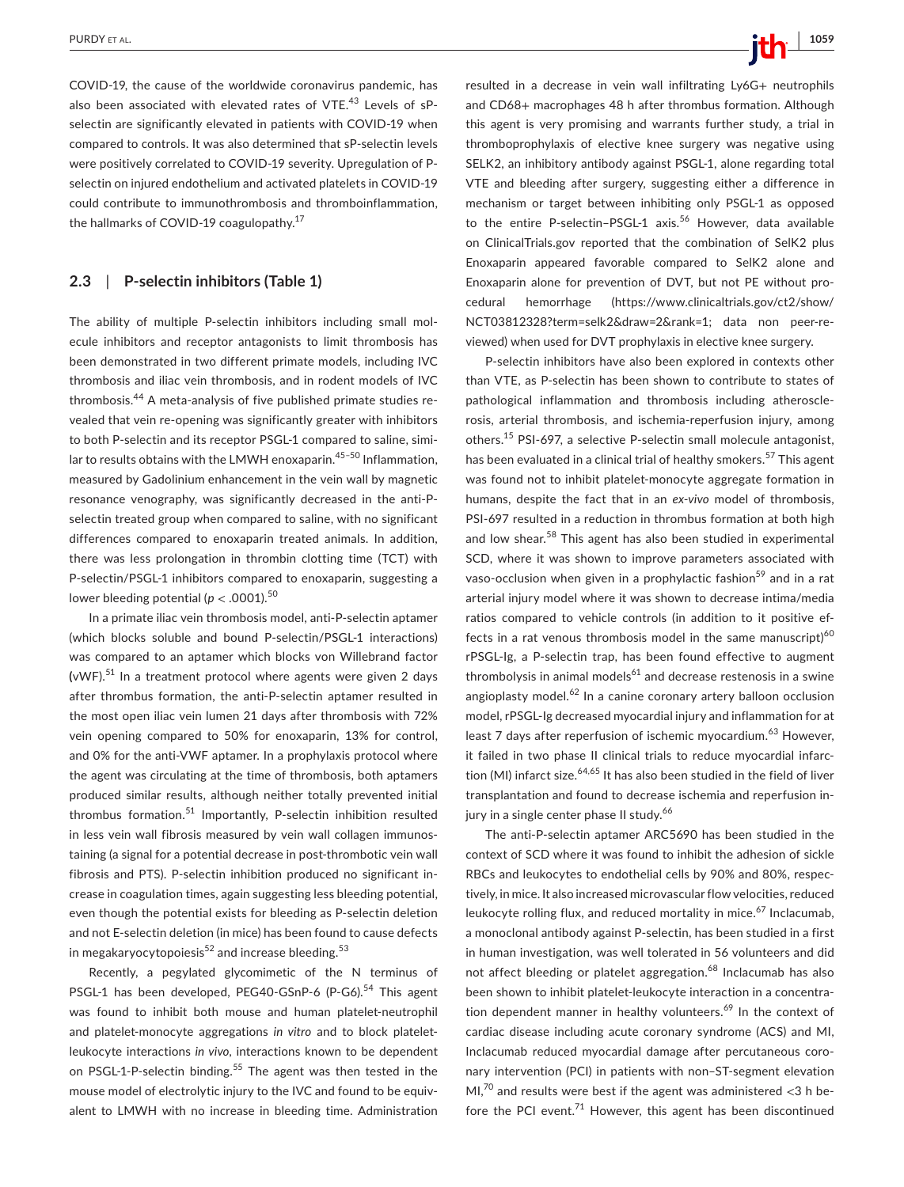COVID-19, the cause of the worldwide coronavirus pandemic, has also been associated with elevated rates of VTE.<sup>43</sup> Levels of sPselectin are significantly elevated in patients with COVID-19 when compared to controls. It was also determined that sP-selectin levels were positively correlated to COVID-19 severity. Upregulation of Pselectin on injured endothelium and activated platelets in COVID-19 could contribute to immunothrombosis and thromboinflammation, the hallmarks of COVID-19 coagulopathy.<sup>17</sup>

# **2.3**  | **P-selectin inhibitors (Table 1)**

The ability of multiple P-selectin inhibitors including small molecule inhibitors and receptor antagonists to limit thrombosis has been demonstrated in two different primate models, including IVC thrombosis and iliac vein thrombosis, and in rodent models of IVC thrombosis.44 A meta-analysis of five published primate studies revealed that vein re-opening was significantly greater with inhibitors to both P-selectin and its receptor PSGL-1 compared to saline, similar to results obtains with the LMWH enoxaparin.<sup>45-50</sup> Inflammation, measured by Gadolinium enhancement in the vein wall by magnetic resonance venography, was significantly decreased in the anti-Pselectin treated group when compared to saline, with no significant differences compared to enoxaparin treated animals. In addition, there was less prolongation in thrombin clotting time (TCT) with P-selectin/PSGL-1 inhibitors compared to enoxaparin, suggesting a lower bleeding potential ( $p < .0001$ ).<sup>50</sup>

In a primate iliac vein thrombosis model, anti-P-selectin aptamer (which blocks soluble and bound P-selectin/PSGL-1 interactions) was compared to an aptamer which blocks von Willebrand factor **(**vWF).51 In a treatment protocol where agents were given 2 days after thrombus formation, the anti-P-selectin aptamer resulted in the most open iliac vein lumen 21 days after thrombosis with 72% vein opening compared to 50% for enoxaparin, 13% for control, and 0% for the anti-VWF aptamer. In a prophylaxis protocol where the agent was circulating at the time of thrombosis, both aptamers produced similar results, although neither totally prevented initial thrombus formation.<sup>51</sup> Importantly, P-selectin inhibition resulted in less vein wall fibrosis measured by vein wall collagen immunostaining (a signal for a potential decrease in post-thrombotic vein wall fibrosis and PTS). P-selectin inhibition produced no significant increase in coagulation times, again suggesting less bleeding potential, even though the potential exists for bleeding as P-selectin deletion and not E-selectin deletion (in mice) has been found to cause defects in megakaryocytopoiesis $52$  and increase bleeding.<sup>53</sup>

Recently, a pegylated glycomimetic of the N terminus of PSGL-1 has been developed, PEG40-GSnP-6 (P-G6).<sup>54</sup> This agent was found to inhibit both mouse and human platelet-neutrophil and platelet-monocyte aggregations *in vitro* and to block plateletleukocyte interactions *in vivo*, interactions known to be dependent on PSGL-1-P-selectin binding.<sup>55</sup> The agent was then tested in the mouse model of electrolytic injury to the IVC and found to be equivalent to LMWH with no increase in bleeding time. Administration

resulted in a decrease in vein wall infiltrating Ly6G+ neutrophils and CD68+ macrophages 48 h after thrombus formation. Although this agent is very promising and warrants further study, a trial in thromboprophylaxis of elective knee surgery was negative using SELK2, an inhibitory antibody against PSGL-1, alone regarding total VTE and bleeding after surgery, suggesting either a difference in mechanism or target between inhibiting only PSGL-1 as opposed to the entire P-selectin-PSGL-1 axis.<sup>56</sup> However, data available on ClinicalTrials.gov reported that the combination of SelK2 plus Enoxaparin appeared favorable compared to SelK2 alone and Enoxaparin alone for prevention of DVT, but not PE without procedural hemorrhage [\(https://www.clinicaltrials.gov/ct2/show/](https://www.clinicaltrials.gov/ct2/show/NCT03812328?term=selk2&draw=2&rank=1;datanonpeer‐reviewed) [NCT03812328?term=selk2&draw=2&rank=1;](https://www.clinicaltrials.gov/ct2/show/NCT03812328?term=selk2&draw=2&rank=1;datanonpeer‐reviewed) data non peer-re[viewed](https://www.clinicaltrials.gov/ct2/show/NCT03812328?term=selk2&draw=2&rank=1;datanonpeer‐reviewed)) when used for DVT prophylaxis in elective knee surgery.

P-selectin inhibitors have also been explored in contexts other than VTE, as P-selectin has been shown to contribute to states of pathological inflammation and thrombosis including atherosclerosis, arterial thrombosis, and ischemia-reperfusion injury, among others.15 PSI-697, a selective P-selectin small molecule antagonist, has been evaluated in a clinical trial of healthy smokers.<sup>57</sup> This agent was found not to inhibit platelet-monocyte aggregate formation in humans, despite the fact that in an *ex*-*vivo* model of thrombosis, PSI-697 resulted in a reduction in thrombus formation at both high and low shear.<sup>58</sup> This agent has also been studied in experimental SCD, where it was shown to improve parameters associated with vaso-occlusion when given in a prophylactic fashion<sup>59</sup> and in a rat arterial injury model where it was shown to decrease intima/media ratios compared to vehicle controls (in addition to it positive effects in a rat venous thrombosis model in the same manuscript) $60$ rPSGL-Ig, a P-selectin trap, has been found effective to augment thrombolysis in animal models $^{61}$  and decrease restenosis in a swine angioplasty model.<sup>62</sup> In a canine coronary artery balloon occlusion model, rPSGL-Ig decreased myocardial injury and inflammation for at least 7 days after reperfusion of ischemic myocardium.<sup>63</sup> However, it failed in two phase II clinical trials to reduce myocardial infarction (MI) infarct size. $64,65$  It has also been studied in the field of liver transplantation and found to decrease ischemia and reperfusion injury in a single center phase II study.<sup>66</sup>

The anti-P-selectin aptamer ARC5690 has been studied in the context of SCD where it was found to inhibit the adhesion of sickle RBCs and leukocytes to endothelial cells by 90% and 80%, respectively, in mice. It also increased microvascular flow velocities, reduced leukocyte rolling flux, and reduced mortality in mice.<sup>67</sup> Inclacumab, a monoclonal antibody against P-selectin, has been studied in a first in human investigation, was well tolerated in 56 volunteers and did not affect bleeding or platelet aggregation.<sup>68</sup> Inclacumab has also been shown to inhibit platelet-leukocyte interaction in a concentration dependent manner in healthy volunteers.<sup>69</sup> In the context of cardiac disease including acute coronary syndrome (ACS) and MI, Inclacumab reduced myocardial damage after percutaneous coronary intervention (PCI) in patients with non–ST-segment elevation MI,<sup>70</sup> and results were best if the agent was administered  $<$ 3 h before the PCI event.<sup>71</sup> However, this agent has been discontinued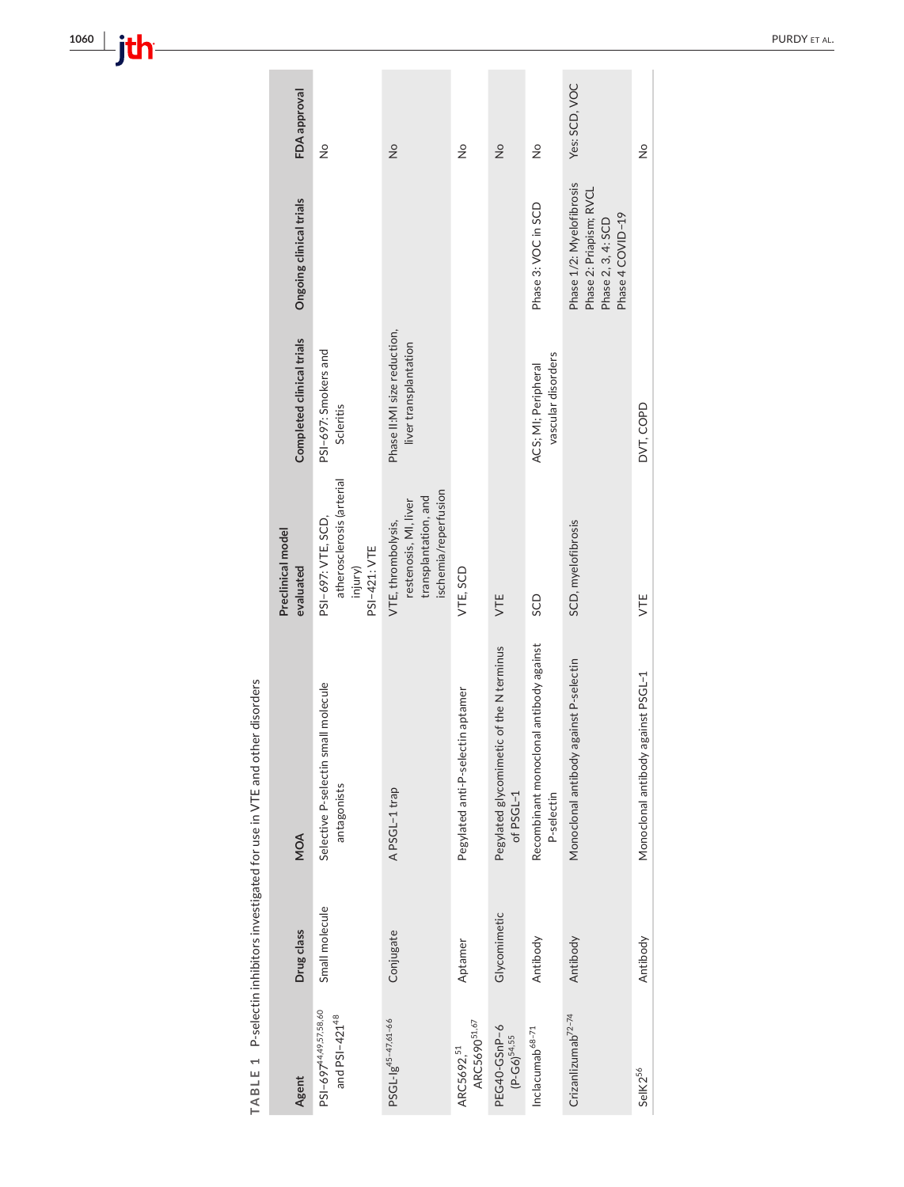TABLE 1 P-selectin inhibitors investigated for use in VTE and other disorders **TABLE 1** P-selectin inhibitors investigated for use in VTE and other disorders

| FDA approval                   | $\frac{1}{2}$                                                              | $\frac{1}{2}$                                                                               | $\frac{1}{2}$                                      | $\frac{1}{2}$                                         | $\frac{1}{2}$                                         | Yes: SCD, VOC                                                                                 | $\frac{1}{2}$                      |
|--------------------------------|----------------------------------------------------------------------------|---------------------------------------------------------------------------------------------|----------------------------------------------------|-------------------------------------------------------|-------------------------------------------------------|-----------------------------------------------------------------------------------------------|------------------------------------|
| Ongoing clinical trials        |                                                                            |                                                                                             |                                                    |                                                       | Phase 3: VOC in SCD                                   | Phase 1/2: Myelofibrosis<br>Phase 2: Priapism; RVCL<br>Phase 4 COVID-19<br>Phase 2, 3, 4: SCD |                                    |
| Completed clinical trials      | PSI-697: Smokers and<br>Scleritis                                          | Phase II:MI size reduction,<br>liver transplantation                                        |                                                    |                                                       | vascular disorders<br>ACS; MI; Peripheral             |                                                                                               | DVT, COPD                          |
| Preclinical model<br>evaluated | atherosclerosis (arterial<br>PSI-697: VTE, SCD,<br>PSI-421: VTE<br>injury) | ischemia/reperfusion<br>transplantation, and<br>restenosis, MI, liver<br>VTE, thrombolysis, | VTE, SCD                                           | VTE                                                   | SCD                                                   | SCD, myelofibrosis                                                                            | VTE                                |
| MOA                            | Selective P-selectin small molecule<br>antagonists                         | APSGL-1 trap                                                                                | Pegylated anti-P-selectin aptamer                  | Pegylated glycomimetic of the N terminus<br>of PSGL-1 | Recombinant monoclonal antibody against<br>P-selectin | Monoclonal antibody against P-selectin                                                        | Monoclonal antibody against PSGL-1 |
| Drug class                     | Small molecule                                                             | Conjugate                                                                                   | Aptamer                                            | Glycomimetic                                          | Antibody                                              | Antibody                                                                                      | Antibody                           |
| Agent                          | PSI-697 <sup>44,49,57,58,60</sup><br>and PSI-421 <sup>48</sup>             | PSGL-1g <sup>45-47,61-66</sup>                                                              | ARC5690 <sup>51,67</sup><br>ARC5692, <sup>51</sup> | PEG40-GSnP-6<br>$(P-G6)^{54,55}$                      | $Inclacumab^{68-71}$                                  | Crizanlizumab <sup>72-74</sup>                                                                | SelK2 <sup>56</sup>                |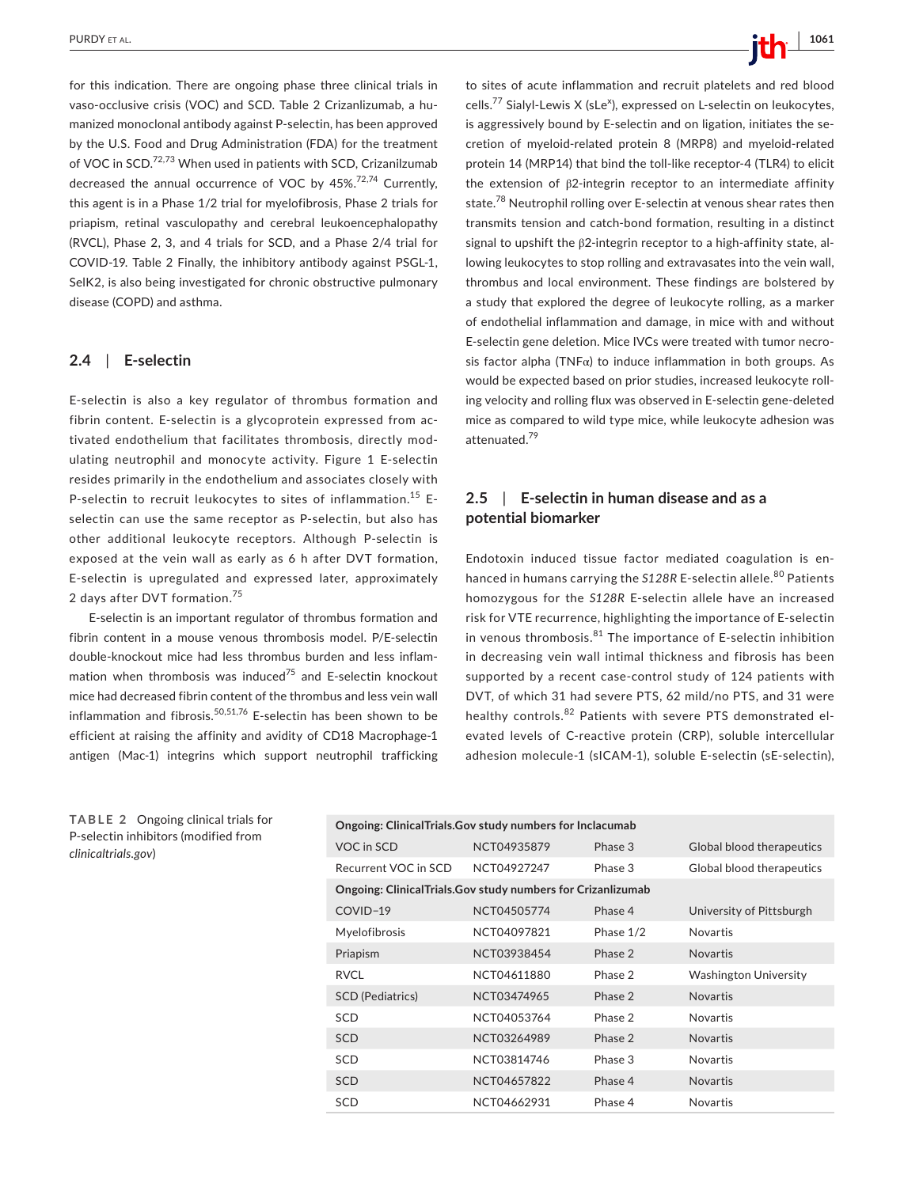for this indication. There are ongoing phase three clinical trials in vaso-occlusive crisis (VOC) and SCD. Table 2 Crizanlizumab, a humanized monoclonal antibody against P-selectin, has been approved by the U.S. Food and Drug Administration (FDA) for the treatment of VOC in SCD.<sup>72,73</sup> When used in patients with SCD, Crizanilzumab decreased the annual occurrence of VOC by 45%.<sup>72,74</sup> Currently, this agent is in a Phase 1/2 trial for myelofibrosis, Phase 2 trials for priapism, retinal vasculopathy and cerebral leukoencephalopathy (RVCL), Phase 2, 3, and 4 trials for SCD, and a Phase 2/4 trial for COVID-19. Table 2 Finally, the inhibitory antibody against PSGL-1, SelK2, is also being investigated for chronic obstructive pulmonary disease (COPD) and asthma.

#### **2.4**  | **E-selectin**

E-selectin is also a key regulator of thrombus formation and fibrin content. E-selectin is a glycoprotein expressed from activated endothelium that facilitates thrombosis, directly modulating neutrophil and monocyte activity. Figure 1 E-selectin resides primarily in the endothelium and associates closely with P-selectin to recruit leukocytes to sites of inflammation.<sup>15</sup> Eselectin can use the same receptor as P-selectin, but also has other additional leukocyte receptors. Although P-selectin is exposed at the vein wall as early as 6 h after DVT formation, E-selectin is upregulated and expressed later, approximately 2 days after DVT formation.<sup>75</sup>

E-selectin is an important regulator of thrombus formation and fibrin content in a mouse venous thrombosis model. P/E-selectin double-knockout mice had less thrombus burden and less inflammation when thrombosis was induced $75$  and E-selectin knockout mice had decreased fibrin content of the thrombus and less vein wall inflammation and fibrosis.<sup>50,51,76</sup> E-selectin has been shown to be efficient at raising the affinity and avidity of CD18 Macrophage-1 antigen (Mac-1) integrins which support neutrophil trafficking

 **PURDY ET AL. 1061**  $\frac{1}{2}$  **1061**  $\frac{1}{2}$  **1061**  $\frac{1}{2}$  **1061**  $\frac{1}{2}$  **1061**  $\frac{1}{2}$  **1061** 

to sites of acute inflammation and recruit platelets and red blood cells.<sup>77</sup> Sialyl-Lewis X (sLe<sup>x</sup>), expressed on L-selectin on leukocytes, is aggressively bound by E-selectin and on ligation, initiates the secretion of myeloid-related protein 8 (MRP8) and myeloid-related protein 14 (MRP14) that bind the toll-like receptor-4 (TLR4) to elicit the extension of β2-integrin receptor to an intermediate affinity state.<sup>78</sup> Neutrophil rolling over E-selectin at venous shear rates then transmits tension and catch-bond formation, resulting in a distinct signal to upshift the β2-integrin receptor to a high-affinity state, allowing leukocytes to stop rolling and extravasates into the vein wall, thrombus and local environment. These findings are bolstered by a study that explored the degree of leukocyte rolling, as a marker of endothelial inflammation and damage, in mice with and without E-selectin gene deletion. Mice IVCs were treated with tumor necrosis factor alpha (TNFα) to induce inflammation in both groups. As would be expected based on prior studies, increased leukocyte rolling velocity and rolling flux was observed in E-selectin gene-deleted mice as compared to wild type mice, while leukocyte adhesion was attenuated.79

# **2.5**  | **E-selectin in human disease and as a potential biomarker**

Endotoxin induced tissue factor mediated coagulation is enhanced in humans carrying the S128R E-selectin allele.<sup>80</sup> Patients homozygous for the *S128R* E-selectin allele have an increased risk for VTE recurrence, highlighting the importance of E-selectin in venous thrombosis. $81$  The importance of E-selectin inhibition in decreasing vein wall intimal thickness and fibrosis has been supported by a recent case-control study of 124 patients with DVT, of which 31 had severe PTS, 62 mild/no PTS, and 31 were healthy controls.<sup>82</sup> Patients with severe PTS demonstrated elevated levels of C-reactive protein (CRP), soluble intercellular adhesion molecule-1 (sICAM-1), soluble E-selectin (sE-selectin),

**TABLE 2** Ongoing clinical trials for P-selectin inhibitors (modified from *clinicaltrials*.*gov*)

| Ongoing: ClinicalTrials.Gov study numbers for Inclacumab    |             |           |                              |  |  |  |
|-------------------------------------------------------------|-------------|-----------|------------------------------|--|--|--|
| VOC in SCD                                                  | NCT04935879 | Phase 3   | Global blood therapeutics    |  |  |  |
| Recurrent VOC in SCD                                        | NCT04927247 | Phase 3   | Global blood therapeutics    |  |  |  |
| Ongoing: ClinicalTrials.Gov study numbers for Crizanlizumab |             |           |                              |  |  |  |
| COVID-19                                                    | NCT04505774 | Phase 4   | University of Pittsburgh     |  |  |  |
| Myelofibrosis                                               | NCT04097821 | Phase 1/2 | <b>Novartis</b>              |  |  |  |
| Priapism                                                    | NCT03938454 | Phase 2   | <b>Novartis</b>              |  |  |  |
| RVCL.                                                       | NCT04611880 | Phase 2   | <b>Washington University</b> |  |  |  |
| <b>SCD</b> (Pediatrics)                                     | NCT03474965 | Phase 2   | <b>Novartis</b>              |  |  |  |
| SCD                                                         | NCT04053764 | Phase 2   | <b>Novartis</b>              |  |  |  |
| <b>SCD</b>                                                  | NCT03264989 | Phase 2   | <b>Novartis</b>              |  |  |  |
| <b>SCD</b>                                                  | NCT03814746 | Phase 3   | <b>Novartis</b>              |  |  |  |
| <b>SCD</b>                                                  | NCT04657822 | Phase 4   | <b>Novartis</b>              |  |  |  |
| SCD                                                         | NCT04662931 | Phase 4   | <b>Novartis</b>              |  |  |  |
|                                                             |             |           |                              |  |  |  |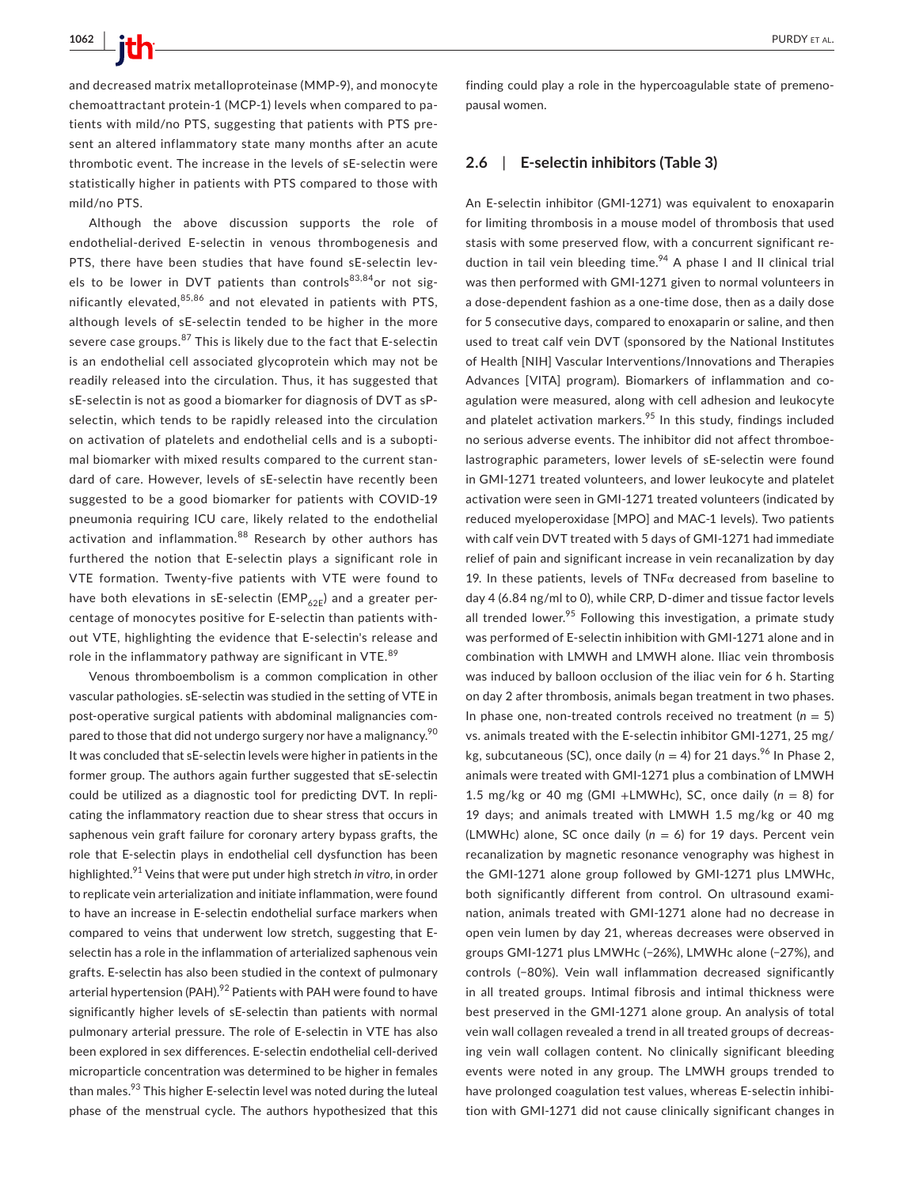and decreased matrix metalloproteinase (MMP-9), and monocyte chemoattractant protein-1 (MCP-1) levels when compared to patients with mild/no PTS, suggesting that patients with PTS present an altered inflammatory state many months after an acute thrombotic event. The increase in the levels of sE-selectin were statistically higher in patients with PTS compared to those with mild/no PTS.

Although the above discussion supports the role of endothelial-derived E-selectin in venous thrombogenesis and PTS, there have been studies that have found sE-selectin levels to be lower in DVT patients than controls $83,84$ or not significantly elevated, 85,86 and not elevated in patients with PTS, although levels of sE-selectin tended to be higher in the more severe case groups.<sup>87</sup> This is likely due to the fact that E-selectin is an endothelial cell associated glycoprotein which may not be readily released into the circulation. Thus, it has suggested that sE-selectin is not as good a biomarker for diagnosis of DVT as sPselectin, which tends to be rapidly released into the circulation on activation of platelets and endothelial cells and is a suboptimal biomarker with mixed results compared to the current standard of care. However, levels of sE-selectin have recently been suggested to be a good biomarker for patients with COVID-19 pneumonia requiring ICU care, likely related to the endothelial activation and inflammation.<sup>88</sup> Research by other authors has furthered the notion that E-selectin plays a significant role in VTE formation. Twenty-five patients with VTE were found to have both elevations in sE-selectin (EMP $_{62E}$ ) and a greater percentage of monocytes positive for E-selectin than patients without VTE, highlighting the evidence that E-selectin's release and role in the inflammatory pathway are significant in VTE.<sup>89</sup>

Venous thromboembolism is a common complication in other vascular pathologies. sE-selectin was studied in the setting of VTE in post-operative surgical patients with abdominal malignancies compared to those that did not undergo surgery nor have a malignancy.<sup>90</sup> It was concluded that sE-selectin levels were higher in patients in the former group. The authors again further suggested that sE-selectin could be utilized as a diagnostic tool for predicting DVT. In replicating the inflammatory reaction due to shear stress that occurs in saphenous vein graft failure for coronary artery bypass grafts, the role that E-selectin plays in endothelial cell dysfunction has been highlighted.91 Veins that were put under high stretch *in vitro*, in order to replicate vein arterialization and initiate inflammation, were found to have an increase in E-selectin endothelial surface markers when compared to veins that underwent low stretch, suggesting that Eselectin has a role in the inflammation of arterialized saphenous vein grafts. E-selectin has also been studied in the context of pulmonary arterial hypertension (PAH). $^{92}$  Patients with PAH were found to have significantly higher levels of sE-selectin than patients with normal pulmonary arterial pressure. The role of E-selectin in VTE has also been explored in sex differences. E-selectin endothelial cell-derived microparticle concentration was determined to be higher in females than males.<sup>93</sup> This higher E-selectin level was noted during the luteal phase of the menstrual cycle. The authors hypothesized that this

finding could play a role in the hypercoagulable state of premenopausal women.

#### **2.6**  | **E-selectin inhibitors (Table 3)**

An E-selectin inhibitor (GMI-1271) was equivalent to enoxaparin for limiting thrombosis in a mouse model of thrombosis that used stasis with some preserved flow, with a concurrent significant reduction in tail vein bleeding time.<sup>94</sup> A phase I and II clinical trial was then performed with GMI-1271 given to normal volunteers in a dose-dependent fashion as a one-time dose, then as a daily dose for 5 consecutive days, compared to enoxaparin or saline, and then used to treat calf vein DVT (sponsored by the National Institutes of Health [NIH] Vascular Interventions/Innovations and Therapies Advances [VITA] program). Biomarkers of inflammation and coagulation were measured, along with cell adhesion and leukocyte and platelet activation markers. $95$  In this study, findings included no serious adverse events. The inhibitor did not affect thromboelastrographic parameters, lower levels of sE-selectin were found in GMI-1271 treated volunteers, and lower leukocyte and platelet activation were seen in GMI-1271 treated volunteers (indicated by reduced myeloperoxidase [MPO] and MAC-1 levels). Two patients with calf vein DVT treated with 5 days of GMI-1271 had immediate relief of pain and significant increase in vein recanalization by day 19. In these patients, levels of  $TNF\alpha$  decreased from baseline to day 4 (6.84 ng/ml to 0), while CRP, D-dimer and tissue factor levels all trended lower.<sup>95</sup> Following this investigation, a primate study was performed of E-selectin inhibition with GMI-1271 alone and in combination with LMWH and LMWH alone. Iliac vein thrombosis was induced by balloon occlusion of the iliac vein for 6 h. Starting on day 2 after thrombosis, animals began treatment in two phases. In phase one, non-treated controls received no treatment ( $n = 5$ ) vs. animals treated with the E-selectin inhibitor GMI-1271, 25 mg/ kg, subcutaneous (SC), once daily ( $n = 4$ ) for 21 days.<sup>96</sup> In Phase 2, animals were treated with GMI-1271 plus a combination of LMWH 1.5 mg/kg or 40 mg (GMI +LMWHc), SC, once daily  $(n = 8)$  for 19 days; and animals treated with LMWH 1.5 mg/kg or 40 mg (LMWHc) alone, SC once daily (*n* = 6) for 19 days. Percent vein recanalization by magnetic resonance venography was highest in the GMI-1271 alone group followed by GMI-1271 plus LMWHc, both significantly different from control. On ultrasound examination, animals treated with GMI-1271 alone had no decrease in open vein lumen by day 21, whereas decreases were observed in groups GMI-1271 plus LMWHc (−26%), LMWHc alone (−27%), and controls (−80%). Vein wall inflammation decreased significantly in all treated groups. Intimal fibrosis and intimal thickness were best preserved in the GMI-1271 alone group. An analysis of total vein wall collagen revealed a trend in all treated groups of decreasing vein wall collagen content. No clinically significant bleeding events were noted in any group. The LMWH groups trended to have prolonged coagulation test values, whereas E-selectin inhibition with GMI-1271 did not cause clinically significant changes in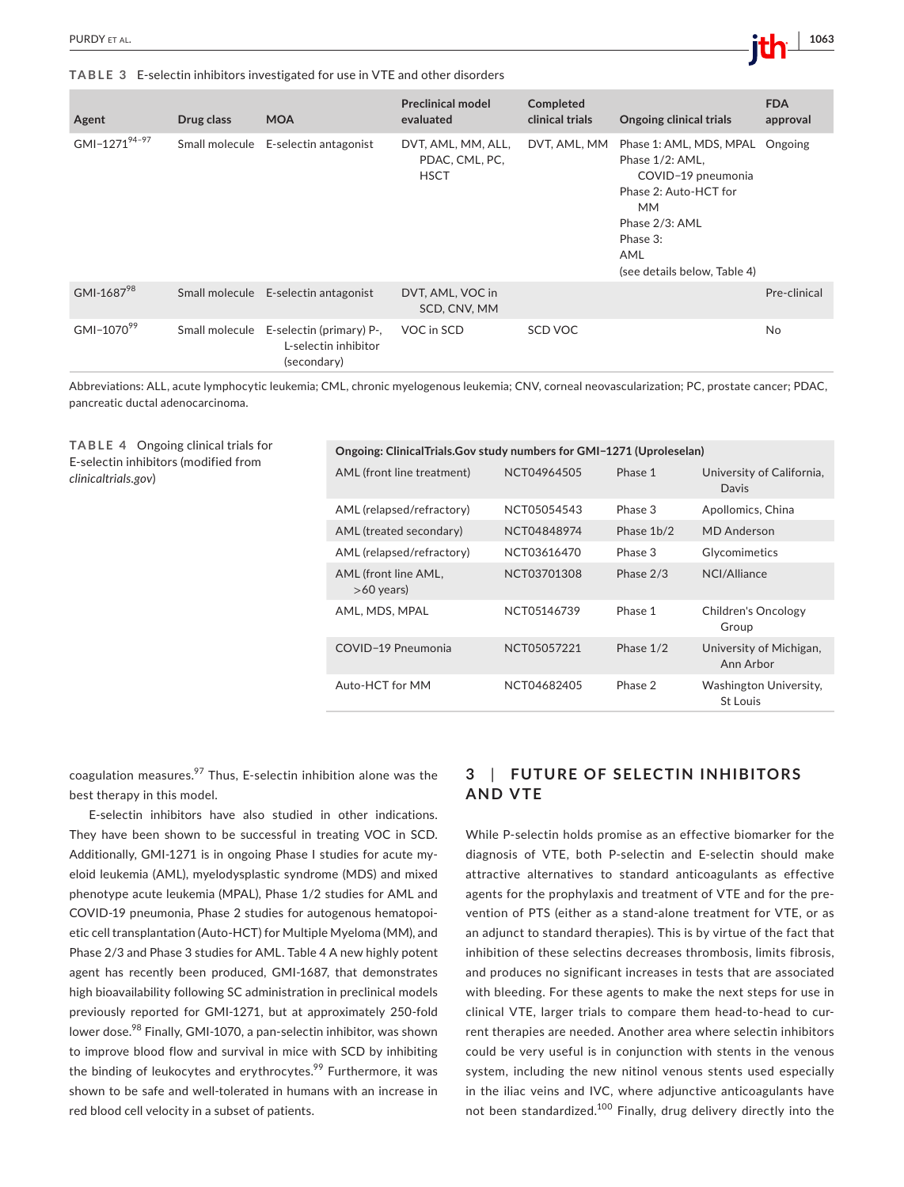**TABLE 3** E-selectin inhibitors investigated for use in VTE and other disorders

| Agent                  | Drug class     | <b>MOA</b>                                                      | <b>Preclinical model</b><br>evaluated               | Completed<br>clinical trials | <b>Ongoing clinical trials</b>                                                                                                                                              | <b>FDA</b><br>approval |
|------------------------|----------------|-----------------------------------------------------------------|-----------------------------------------------------|------------------------------|-----------------------------------------------------------------------------------------------------------------------------------------------------------------------------|------------------------|
| GMI-127194-97          | Small molecule | E-selectin antagonist                                           | DVT, AML, MM, ALL,<br>PDAC, CML, PC,<br><b>HSCT</b> | DVT, AML, MM                 | Phase 1: AML, MDS, MPAL<br>Phase 1/2: AML,<br>COVID-19 pneumonia<br>Phase 2: Auto-HCT for<br><b>MM</b><br>Phase 2/3: AML<br>Phase 3:<br>AML<br>(see details below, Table 4) | Ongoing                |
| GMI-168798             |                | Small molecule E-selectin antagonist                            | DVT, AML, VOC in<br>SCD, CNV, MM                    |                              |                                                                                                                                                                             | Pre-clinical           |
| GMI-1070 <sup>99</sup> | Small molecule | E-selectin (primary) P-,<br>L-selectin inhibitor<br>(secondary) | VOC in SCD                                          | SCD VOC                      |                                                                                                                                                                             | <b>No</b>              |

Abbreviations: ALL, acute lymphocytic leukemia; CML, chronic myelogenous leukemia; CNV, corneal neovascularization; PC, prostate cancer; PDAC, pancreatic ductal adenocarcinoma.

**TABLE 4** Ongoing clinical trials for E-selectin inhibitors (modified from *clinicaltrials*.*gov*)

| Ongoing: ClinicalTrials.Gov study numbers for GMI-1271 (Uproleselan) |             |            |                                           |  |  |
|----------------------------------------------------------------------|-------------|------------|-------------------------------------------|--|--|
| AML (front line treatment)                                           | NCT04964505 | Phase 1    | University of California,<br>Davis        |  |  |
| AML (relapsed/refractory)                                            | NCT05054543 | Phase 3    | Apollomics, China                         |  |  |
| AML (treated secondary)                                              | NCT04848974 | Phase 1b/2 | <b>MD</b> Anderson                        |  |  |
| AML (relapsed/refractory)                                            | NCT03616470 | Phase 3    | Glycomimetics                             |  |  |
| AML (front line AML,<br>$>60$ years)                                 | NCT03701308 | Phase 2/3  | NCI/Alliance                              |  |  |
| AML, MDS, MPAL                                                       | NCT05146739 | Phase 1    | Children's Oncology<br>Group              |  |  |
| COVID-19 Pneumonia                                                   | NCT05057221 | Phase 1/2  | University of Michigan,<br>Ann Arbor      |  |  |
| Auto-HCT for MM                                                      | NCT04682405 | Phase 2    | Washington University,<br><b>St Louis</b> |  |  |

coagulation measures.<sup>97</sup> Thus, E-selectin inhibition alone was the best therapy in this model.

E-selectin inhibitors have also studied in other indications. They have been shown to be successful in treating VOC in SCD. Additionally, GMI-1271 is in ongoing Phase I studies for acute myeloid leukemia (AML), myelodysplastic syndrome (MDS) and mixed phenotype acute leukemia (MPAL), Phase 1/2 studies for AML and COVID-19 pneumonia, Phase 2 studies for autogenous hematopoietic cell transplantation (Auto-HCT) for Multiple Myeloma (MM), and Phase 2/3 and Phase 3 studies for AML. Table 4 A new highly potent agent has recently been produced, GMI-1687, that demonstrates high bioavailability following SC administration in preclinical models previously reported for GMI-1271, but at approximately 250-fold lower dose.<sup>98</sup> Finally, GMI-1070, a pan-selectin inhibitor, was shown to improve blood flow and survival in mice with SCD by inhibiting the binding of leukocytes and erythrocytes.<sup>99</sup> Furthermore, it was shown to be safe and well-tolerated in humans with an increase in red blood cell velocity in a subset of patients.

# **3**  | **FUTURE OF SELEC TIN INHIBITORS AND VTE**

While P-selectin holds promise as an effective biomarker for the diagnosis of VTE, both P-selectin and E-selectin should make attractive alternatives to standard anticoagulants as effective agents for the prophylaxis and treatment of VTE and for the prevention of PTS (either as a stand-alone treatment for VTE, or as an adjunct to standard therapies). This is by virtue of the fact that inhibition of these selectins decreases thrombosis, limits fibrosis, and produces no significant increases in tests that are associated with bleeding. For these agents to make the next steps for use in clinical VTE, larger trials to compare them head-to-head to current therapies are needed. Another area where selectin inhibitors could be very useful is in conjunction with stents in the venous system, including the new nitinol venous stents used especially in the iliac veins and IVC, where adjunctive anticoagulants have not been standardized.<sup>100</sup> Finally, drug delivery directly into the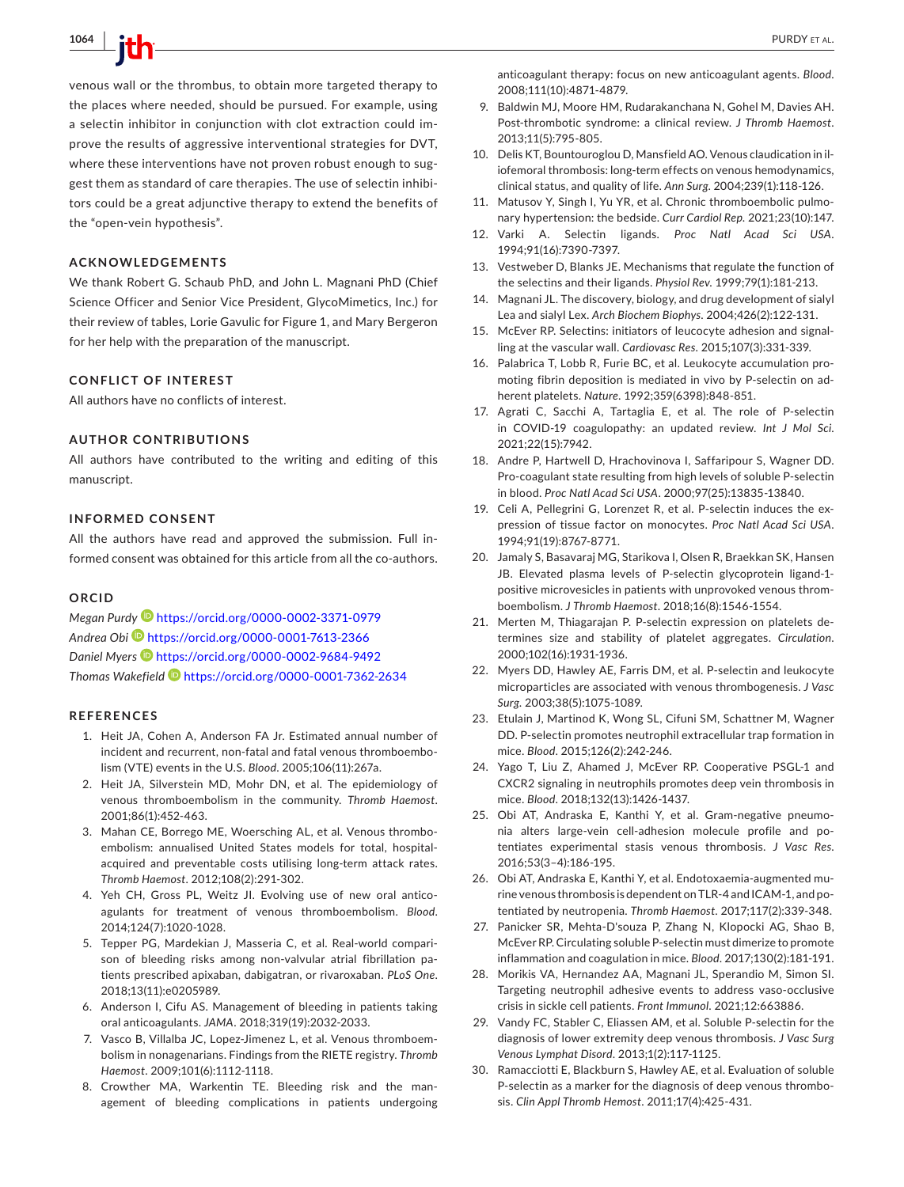**1064 <sup>|</sup>**  PURDY et al.

venous wall or the thrombus, to obtain more targeted therapy to the places where needed, should be pursued. For example, using a selectin inhibitor in conjunction with clot extraction could improve the results of aggressive interventional strategies for DVT, where these interventions have not proven robust enough to suggest them as standard of care therapies. The use of selectin inhibitors could be a great adjunctive therapy to extend the benefits of the "open-vein hypothesis".

#### **ACKNOWLEDGEMENTS**

We thank Robert G. Schaub PhD, and John L. Magnani PhD (Chief Science Officer and Senior Vice President, GlycoMimetics, Inc.) for their review of tables, Lorie Gavulic for Figure 1, and Mary Bergeron for her help with the preparation of the manuscript.

# **CONFLICT OF INTEREST**

All authors have no conflicts of interest.

### **AUTHOR CONTRIBUTIONS**

All authors have contributed to the writing and editing of this manuscript.

# **INFORMED CONSENT**

All the authors have read and approved the submission. Full informed consent was obtained for this article from all the co-authors.

#### **ORCID**

*Megan Purdy* <https://orcid.org/0000-0002-3371-0979> *Andrea Obi* <https://orcid.org/0000-0001-7613-2366> *Daniel Myer[s](https://orcid.org/0000-0002-9684-9492)* <https://orcid.org/0000-0002-9684-9492> *Thomas Wakefield* <https://orcid.org/0000-0001-7362-2634>

# **REFERENCES**

- 1. Heit JA, Cohen A, Anderson FA Jr. Estimated annual number of incident and recurrent, non-fatal and fatal venous thromboembolism (VTE) events in the U.S. *Blood*. 2005;106(11):267a.
- 2. Heit JA, Silverstein MD, Mohr DN, et al. The epidemiology of venous thromboembolism in the community. *Thromb Haemost*. 2001;86(1):452-463.
- 3. Mahan CE, Borrego ME, Woersching AL, et al. Venous thromboembolism: annualised United States models for total, hospitalacquired and preventable costs utilising long-term attack rates. *Thromb Haemost*. 2012;108(2):291-302.
- 4. Yeh CH, Gross PL, Weitz JI. Evolving use of new oral anticoagulants for treatment of venous thromboembolism. *Blood*. 2014;124(7):1020-1028.
- 5. Tepper PG, Mardekian J, Masseria C, et al. Real-world comparison of bleeding risks among non-valvular atrial fibrillation patients prescribed apixaban, dabigatran, or rivaroxaban. *PLoS One*. 2018;13(11):e0205989.
- 6. Anderson I, Cifu AS. Management of bleeding in patients taking oral anticoagulants. *JAMA*. 2018;319(19):2032-2033.
- 7. Vasco B, Villalba JC, Lopez-Jimenez L, et al. Venous thromboembolism in nonagenarians. Findings from the RIETE registry. *Thromb Haemost*. 2009;101(6):1112-1118.
- 8. Crowther MA, Warkentin TE. Bleeding risk and the management of bleeding complications in patients undergoing

anticoagulant therapy: focus on new anticoagulant agents. *Blood*. 2008;111(10):4871-4879.

- 9. Baldwin MJ, Moore HM, Rudarakanchana N, Gohel M, Davies AH. Post-thrombotic syndrome: a clinical review. *J Thromb Haemost*. 2013;11(5):795-805.
- 10. Delis KT, Bountouroglou D, Mansfield AO. Venous claudication in iliofemoral thrombosis: long-term effects on venous hemodynamics, clinical status, and quality of life. *Ann Surg*. 2004;239(1):118-126.
- 11. Matusov Y, Singh I, Yu YR, et al. Chronic thromboembolic pulmonary hypertension: the bedside. *Curr Cardiol Rep*. 2021;23(10):147.
- 12. Varki A. Selectin ligands. *Proc Natl Acad Sci USA*. 1994;91(16):7390-7397.
- 13. Vestweber D, Blanks JE. Mechanisms that regulate the function of the selectins and their ligands. *Physiol Rev*. 1999;79(1):181-213.
- 14. Magnani JL. The discovery, biology, and drug development of sialyl Lea and sialyl Lex. *Arch Biochem Biophys*. 2004;426(2):122-131.
- 15. McEver RP. Selectins: initiators of leucocyte adhesion and signalling at the vascular wall. *Cardiovasc Res*. 2015;107(3):331-339.
- 16. Palabrica T, Lobb R, Furie BC, et al. Leukocyte accumulation promoting fibrin deposition is mediated in vivo by P-selectin on adherent platelets. *Nature*. 1992;359(6398):848-851.
- 17. Agrati C, Sacchi A, Tartaglia E, et al. The role of P-selectin in COVID-19 coagulopathy: an updated review. *Int J Mol Sci*. 2021;22(15):7942.
- 18. Andre P, Hartwell D, Hrachovinova I, Saffaripour S, Wagner DD. Pro-coagulant state resulting from high levels of soluble P-selectin in blood. *Proc Natl Acad Sci USA*. 2000;97(25):13835-13840.
- 19. Celi A, Pellegrini G, Lorenzet R, et al. P-selectin induces the expression of tissue factor on monocytes. *Proc Natl Acad Sci USA*. 1994;91(19):8767-8771.
- 20. Jamaly S, Basavaraj MG, Starikova I, Olsen R, Braekkan SK, Hansen JB. Elevated plasma levels of P-selectin glycoprotein ligand-1 positive microvesicles in patients with unprovoked venous thromboembolism. *J Thromb Haemost*. 2018;16(8):1546-1554.
- 21. Merten M, Thiagarajan P. P-selectin expression on platelets determines size and stability of platelet aggregates. *Circulation*. 2000;102(16):1931-1936.
- 22. Myers DD, Hawley AE, Farris DM, et al. P-selectin and leukocyte microparticles are associated with venous thrombogenesis. *J Vasc Surg*. 2003;38(5):1075-1089.
- 23. Etulain J, Martinod K, Wong SL, Cifuni SM, Schattner M, Wagner DD. P-selectin promotes neutrophil extracellular trap formation in mice. *Blood*. 2015;126(2):242-246.
- 24. Yago T, Liu Z, Ahamed J, McEver RP. Cooperative PSGL-1 and CXCR2 signaling in neutrophils promotes deep vein thrombosis in mice. *Blood*. 2018;132(13):1426-1437.
- 25. Obi AT, Andraska E, Kanthi Y, et al. Gram-negative pneumonia alters large-vein cell-adhesion molecule profile and potentiates experimental stasis venous thrombosis. *J Vasc Res*. 2016;53(3–4):186-195.
- 26. Obi AT, Andraska E, Kanthi Y, et al. Endotoxaemia-augmented murine venous thrombosis is dependent on TLR-4 and ICAM-1, and potentiated by neutropenia. *Thromb Haemost*. 2017;117(2):339-348.
- 27. Panicker SR, Mehta-D'souza P, Zhang N, Klopocki AG, Shao B, McEver RP. Circulating soluble P-selectin must dimerize to promote inflammation and coagulation in mice. *Blood*. 2017;130(2):181-191.
- 28. Morikis VA, Hernandez AA, Magnani JL, Sperandio M, Simon SI. Targeting neutrophil adhesive events to address vaso-occlusive crisis in sickle cell patients. *Front Immunol*. 2021;12:663886.
- 29. Vandy FC, Stabler C, Eliassen AM, et al. Soluble P-selectin for the diagnosis of lower extremity deep venous thrombosis. *J Vasc Surg Venous Lymphat Disord*. 2013;1(2):117-1125.
- 30. Ramacciotti E, Blackburn S, Hawley AE, et al. Evaluation of soluble P-selectin as a marker for the diagnosis of deep venous thrombosis. *Clin Appl Thromb Hemost*. 2011;17(4):425-431.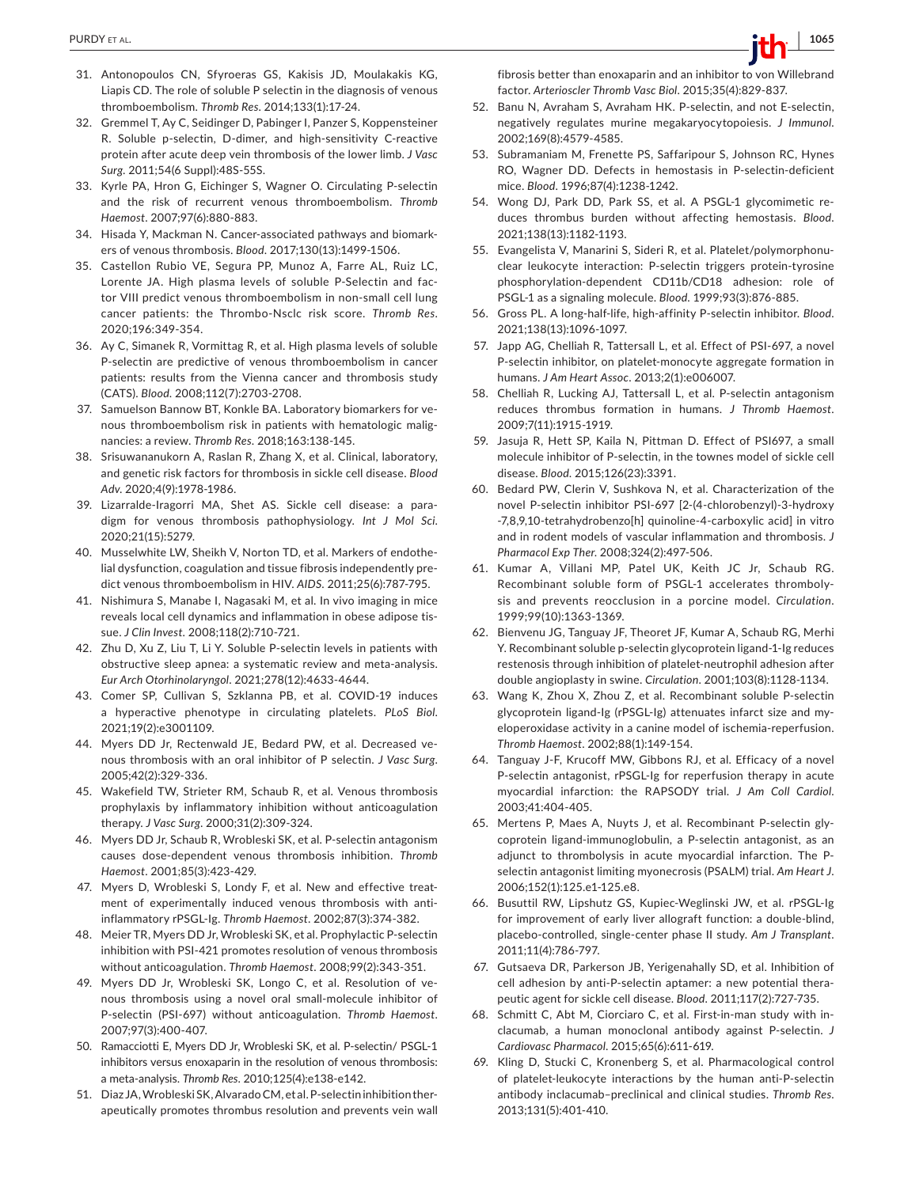- 31. Antonopoulos CN, Sfyroeras GS, Kakisis JD, Moulakakis KG, Liapis CD. The role of soluble P selectin in the diagnosis of venous thromboembolism. *Thromb Res*. 2014;133(1):17-24.
- 32. Gremmel T, Ay C, Seidinger D, Pabinger I, Panzer S, Koppensteiner R. Soluble p-selectin, D-dimer, and high-sensitivity C-reactive protein after acute deep vein thrombosis of the lower limb. *J Vasc Surg*. 2011;54(6 Suppl):48S-55S.
- 33. Kyrle PA, Hron G, Eichinger S, Wagner O. Circulating P-selectin and the risk of recurrent venous thromboembolism. *Thromb Haemost*. 2007;97(6):880-883.
- 34. Hisada Y, Mackman N. Cancer-associated pathways and biomarkers of venous thrombosis. *Blood*. 2017;130(13):1499-1506.
- 35. Castellon Rubio VE, Segura PP, Munoz A, Farre AL, Ruiz LC, Lorente JA. High plasma levels of soluble P-Selectin and factor VIII predict venous thromboembolism in non-small cell lung cancer patients: the Thrombo-Nsclc risk score. *Thromb Res*. 2020;196:349-354.
- 36. Ay C, Simanek R, Vormittag R, et al. High plasma levels of soluble P-selectin are predictive of venous thromboembolism in cancer patients: results from the Vienna cancer and thrombosis study (CATS). *Blood*. 2008;112(7):2703-2708.
- 37. Samuelson Bannow BT, Konkle BA. Laboratory biomarkers for venous thromboembolism risk in patients with hematologic malignancies: a review. *Thromb Res*. 2018;163:138-145.
- 38. Srisuwananukorn A, Raslan R, Zhang X, et al. Clinical, laboratory, and genetic risk factors for thrombosis in sickle cell disease. *Blood Adv*. 2020;4(9):1978-1986.
- 39. Lizarralde-Iragorri MA, Shet AS. Sickle cell disease: a paradigm for venous thrombosis pathophysiology. *Int J Mol Sci*. 2020;21(15):5279.
- 40. Musselwhite LW, Sheikh V, Norton TD, et al. Markers of endothelial dysfunction, coagulation and tissue fibrosis independently predict venous thromboembolism in HIV. *AIDS*. 2011;25(6):787-795.
- 41. Nishimura S, Manabe I, Nagasaki M, et al. In vivo imaging in mice reveals local cell dynamics and inflammation in obese adipose tissue. *J Clin Invest*. 2008;118(2):710-721.
- 42. Zhu D, Xu Z, Liu T, Li Y. Soluble P-selectin levels in patients with obstructive sleep apnea: a systematic review and meta-analysis. *Eur Arch Otorhinolaryngol*. 2021;278(12):4633-4644.
- 43. Comer SP, Cullivan S, Szklanna PB, et al. COVID-19 induces a hyperactive phenotype in circulating platelets. *PLoS Biol*. 2021;19(2):e3001109.
- 44. Myers DD Jr, Rectenwald JE, Bedard PW, et al. Decreased venous thrombosis with an oral inhibitor of P selectin. *J Vasc Surg*. 2005;42(2):329-336.
- 45. Wakefield TW, Strieter RM, Schaub R, et al. Venous thrombosis prophylaxis by inflammatory inhibition without anticoagulation therapy. *J Vasc Surg*. 2000;31(2):309-324.
- 46. Myers DD Jr, Schaub R, Wrobleski SK, et al. P-selectin antagonism causes dose-dependent venous thrombosis inhibition. *Thromb Haemost*. 2001;85(3):423-429.
- 47. Myers D, Wrobleski S, Londy F, et al. New and effective treatment of experimentally induced venous thrombosis with antiinflammatory rPSGL-Ig. *Thromb Haemost*. 2002;87(3):374-382.
- 48. Meier TR, Myers DD Jr, Wrobleski SK, et al. Prophylactic P-selectin inhibition with PSI-421 promotes resolution of venous thrombosis without anticoagulation. *Thromb Haemost*. 2008;99(2):343-351.
- 49. Myers DD Jr, Wrobleski SK, Longo C, et al. Resolution of venous thrombosis using a novel oral small-molecule inhibitor of P-selectin (PSI-697) without anticoagulation. *Thromb Haemost*. 2007;97(3):400-407.
- 50. Ramacciotti E, Myers DD Jr, Wrobleski SK, et al. P-selectin/ PSGL-1 inhibitors versus enoxaparin in the resolution of venous thrombosis: a meta-analysis. *Thromb Res*. 2010;125(4):e138-e142.
- 51. Diaz JA, Wrobleski SK, Alvarado CM, et al. P-selectin inhibition therapeutically promotes thrombus resolution and prevents vein wall

fibrosis better than enoxaparin and an inhibitor to von Willebrand factor. *Arterioscler Thromb Vasc Biol*. 2015;35(4):829-837.

- 52. Banu N, Avraham S, Avraham HK. P-selectin, and not E-selectin, negatively regulates murine megakaryocytopoiesis. *J Immunol*. 2002;169(8):4579-4585.
- 53. Subramaniam M, Frenette PS, Saffaripour S, Johnson RC, Hynes RO, Wagner DD. Defects in hemostasis in P-selectin-deficient mice. *Blood*. 1996;87(4):1238-1242.
- 54. Wong DJ, Park DD, Park SS, et al. A PSGL-1 glycomimetic reduces thrombus burden without affecting hemostasis. *Blood*. 2021;138(13):1182-1193.
- 55. Evangelista V, Manarini S, Sideri R, et al. Platelet/polymorphonuclear leukocyte interaction: P-selectin triggers protein-tyrosine phosphorylation-dependent CD11b/CD18 adhesion: role of PSGL-1 as a signaling molecule. *Blood*. 1999;93(3):876-885.
- 56. Gross PL. A long-half-life, high-affinity P-selectin inhibitor. *Blood*. 2021;138(13):1096-1097.
- 57. Japp AG, Chelliah R, Tattersall L, et al. Effect of PSI-697, a novel P-selectin inhibitor, on platelet-monocyte aggregate formation in humans. *J Am Heart Assoc*. 2013;2(1):e006007.
- 58. Chelliah R, Lucking AJ, Tattersall L, et al. P-selectin antagonism reduces thrombus formation in humans. *J Thromb Haemost*. 2009;7(11):1915-1919.
- 59. Jasuja R, Hett SP, Kaila N, Pittman D. Effect of PSI697, a small molecule inhibitor of P-selectin, in the townes model of sickle cell disease. *Blood*. 2015;126(23):3391.
- 60. Bedard PW, Clerin V, Sushkova N, et al. Characterization of the novel P-selectin inhibitor PSI-697 [2-(4-chlorobenzyl)-3-hydroxy -7,8,9,10-tetrahydrobenzo[h] quinoline-4-carboxylic acid] in vitro and in rodent models of vascular inflammation and thrombosis. *J Pharmacol Exp Ther*. 2008;324(2):497-506.
- 61. Kumar A, Villani MP, Patel UK, Keith JC Jr, Schaub RG. Recombinant soluble form of PSGL-1 accelerates thrombolysis and prevents reocclusion in a porcine model. *Circulation*. 1999;99(10):1363-1369.
- 62. Bienvenu JG, Tanguay JF, Theoret JF, Kumar A, Schaub RG, Merhi Y. Recombinant soluble p-selectin glycoprotein ligand-1-Ig reduces restenosis through inhibition of platelet-neutrophil adhesion after double angioplasty in swine. *Circulation*. 2001;103(8):1128-1134.
- 63. Wang K, Zhou X, Zhou Z, et al. Recombinant soluble P-selectin glycoprotein ligand-Ig (rPSGL-Ig) attenuates infarct size and myeloperoxidase activity in a canine model of ischemia-reperfusion. *Thromb Haemost*. 2002;88(1):149-154.
- 64. Tanguay J-F, Krucoff MW, Gibbons RJ, et al. Efficacy of a novel P-selectin antagonist, rPSGL-Ig for reperfusion therapy in acute myocardial infarction: the RAPSODY trial. *J Am Coll Cardiol*. 2003;41:404-405.
- 65. Mertens P, Maes A, Nuyts J, et al. Recombinant P-selectin glycoprotein ligand-immunoglobulin, a P-selectin antagonist, as an adjunct to thrombolysis in acute myocardial infarction. The Pselectin antagonist limiting myonecrosis (PSALM) trial. *Am Heart J*. 2006;152(1):125.e1-125.e8.
- 66. Busuttil RW, Lipshutz GS, Kupiec-Weglinski JW, et al. rPSGL-Ig for improvement of early liver allograft function: a double-blind, placebo-controlled, single-center phase II study. *Am J Transplant*. 2011;11(4):786-797.
- 67. Gutsaeva DR, Parkerson JB, Yerigenahally SD, et al. Inhibition of cell adhesion by anti-P-selectin aptamer: a new potential therapeutic agent for sickle cell disease. *Blood*. 2011;117(2):727-735.
- 68. Schmitt C, Abt M, Ciorciaro C, et al. First-in-man study with inclacumab, a human monoclonal antibody against P-selectin. *J Cardiovasc Pharmacol*. 2015;65(6):611-619.
- 69. Kling D, Stucki C, Kronenberg S, et al. Pharmacological control of platelet-leukocyte interactions by the human anti-P-selectin antibody inclacumab–preclinical and clinical studies. *Thromb Res*. 2013;131(5):401-410.